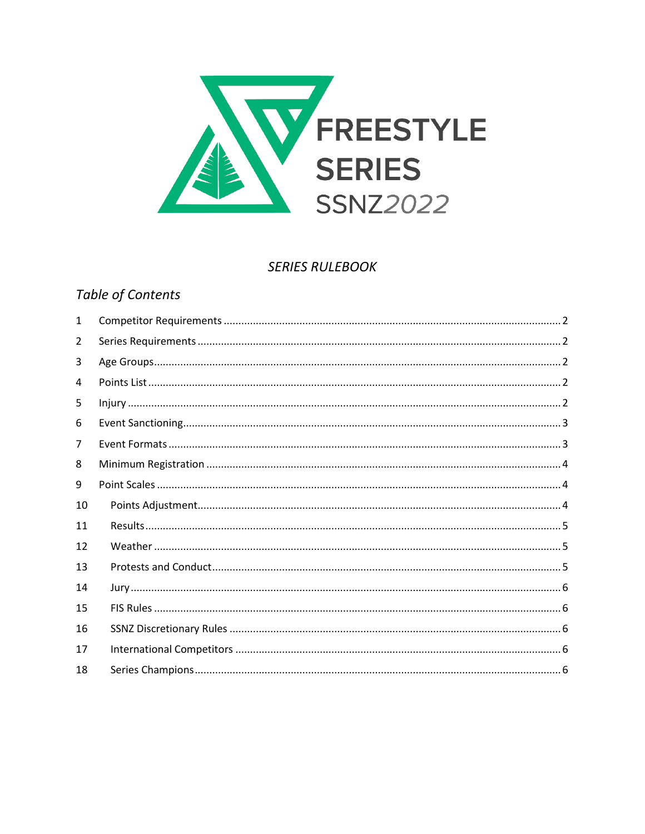

### **SERIES RULEBOOK**

# **Table of Contents**

| 1  |  |
|----|--|
| 2  |  |
| 3  |  |
| 4  |  |
| 5  |  |
| 6  |  |
| 7  |  |
| 8  |  |
| 9  |  |
| 10 |  |
| 11 |  |
| 12 |  |
| 13 |  |
| 14 |  |
| 15 |  |
| 16 |  |
| 17 |  |
| 18 |  |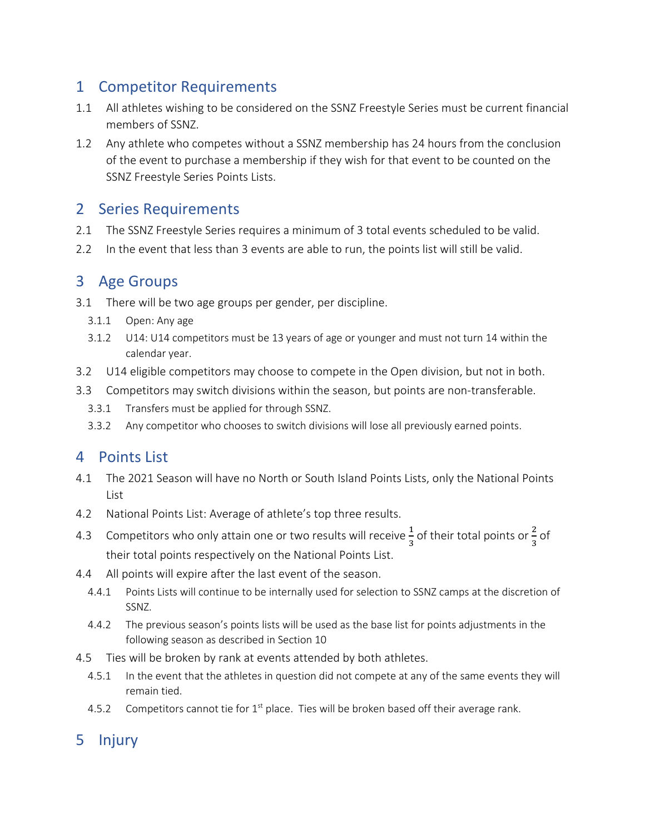## <span id="page-1-0"></span>1 Competitor Requirements

- 1.1 All athletes wishing to be considered on the SSNZ Freestyle Series must be current financial members of SSNZ.
- 1.2 Any athlete who competes without a SSNZ membership has 24 hours from the conclusion of the event to purchase a membership if they wish for that event to be counted on the SSNZ Freestyle Series Points Lists.

### <span id="page-1-1"></span>2 Series Requirements

- 2.1 The SSNZ Freestyle Series requires a minimum of 3 total events scheduled to be valid.
- <span id="page-1-2"></span>2.2 In the event that less than 3 events are able to run, the points list will still be valid.

## 3 Age Groups

- 3.1 There will be two age groups per gender, per discipline.
	- 3.1.1 Open: Any age
	- 3.1.2 U14: U14 competitors must be 13 years of age or younger and must not turn 14 within the calendar year.
- 3.2 U14 eligible competitors may choose to compete in the Open division, but not in both.
- 3.3 Competitors may switch divisions within the season, but points are non-transferable.
	- 3.3.1 Transfers must be applied for through SSNZ.
	- 3.3.2 Any competitor who chooses to switch divisions will lose all previously earned points.

### <span id="page-1-3"></span>4 Points List

- 4.1 The 2021 Season will have no North or South Island Points Lists, only the National Points List
- 4.2 National Points List: Average of athlete's top three results.
- 4.3 Competitors who only attain one or two results will receive  $\frac{1}{3}$  of their total points or  $\frac{2}{3}$  of their total points respectively on the National Points List.
- 4.4 All points will expire after the last event of the season.
	- 4.4.1 Points Lists will continue to be internally used for selection to SSNZ camps at the discretion of SSNZ.
	- 4.4.2 The previous season's points lists will be used as the base list for points adjustments in the following season as described in Section 10
- 4.5 Ties will be broken by rank at events attended by both athletes.
	- 4.5.1 In the event that the athletes in question did not compete at any of the same events they will remain tied.
	- 4.5.2 Competitors cannot tie for  $1<sup>st</sup>$  place. Ties will be broken based off their average rank.

### <span id="page-1-4"></span>5 Injury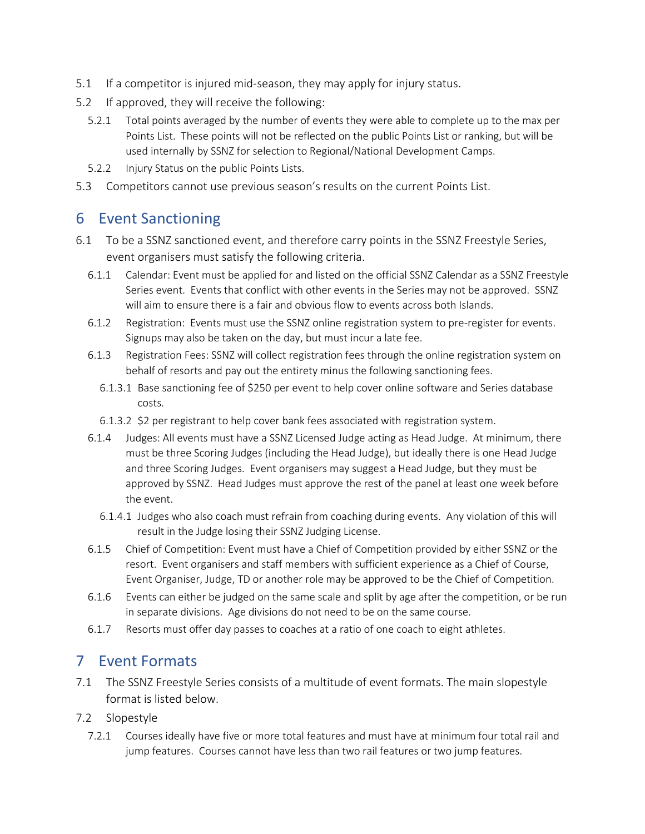- 5.1 If a competitor is injured mid-season, they may apply for injury status.
- 5.2 If approved, they will receive the following:
	- 5.2.1 Total points averaged by the number of events they were able to complete up to the max per Points List. These points will not be reflected on the public Points List or ranking, but will be used internally by SSNZ for selection to Regional/National Development Camps.
	- 5.2.2 Injury Status on the public Points Lists.
- <span id="page-2-0"></span>5.3 Competitors cannot use previous season's results on the current Points List.

## 6 Event Sanctioning

- 6.1 To be a SSNZ sanctioned event, and therefore carry points in the SSNZ Freestyle Series, event organisers must satisfy the following criteria.
	- 6.1.1 Calendar: Event must be applied for and listed on the official SSNZ Calendar as a SSNZ Freestyle Series event. Events that conflict with other events in the Series may not be approved. SSNZ will aim to ensure there is a fair and obvious flow to events across both Islands.
	- 6.1.2 Registration: Events must use the SSNZ online registration system to pre-register for events. Signups may also be taken on the day, but must incur a late fee.
	- 6.1.3 Registration Fees: SSNZ will collect registration fees through the online registration system on behalf of resorts and pay out the entirety minus the following sanctioning fees.
		- 6.1.3.1 Base sanctioning fee of \$250 per event to help cover online software and Series database costs.
		- 6.1.3.2 \$2 per registrant to help cover bank fees associated with registration system.
	- 6.1.4 Judges: All events must have a SSNZ Licensed Judge acting as Head Judge. At minimum, there must be three Scoring Judges (including the Head Judge), but ideally there is one Head Judge and three Scoring Judges. Event organisers may suggest a Head Judge, but they must be approved by SSNZ. Head Judges must approve the rest of the panel at least one week before the event.
		- 6.1.4.1 Judges who also coach must refrain from coaching during events. Any violation of this will result in the Judge losing their SSNZ Judging License.
	- 6.1.5 Chief of Competition: Event must have a Chief of Competition provided by either SSNZ or the resort. Event organisers and staff members with sufficient experience as a Chief of Course, Event Organiser, Judge, TD or another role may be approved to be the Chief of Competition.
	- 6.1.6 Events can either be judged on the same scale and split by age after the competition, or be run in separate divisions. Age divisions do not need to be on the same course.
	- 6.1.7 Resorts must offer day passes to coaches at a ratio of one coach to eight athletes.

## <span id="page-2-1"></span>7 Event Formats

- 7.1 The SSNZ Freestyle Series consists of a multitude of event formats. The main slopestyle format is listed below.
- 7.2 Slopestyle
	- 7.2.1 Courses ideally have five or more total features and must have at minimum four total rail and jump features. Courses cannot have less than two rail features or two jump features.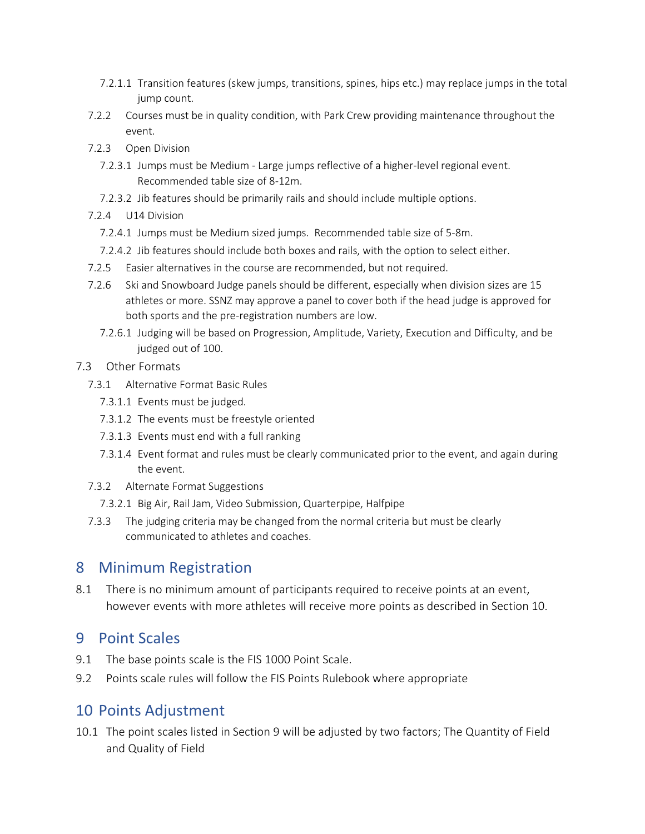- 7.2.1.1 Transition features (skew jumps, transitions, spines, hips etc.) may replace jumps in the total jump count.
- 7.2.2 Courses must be in quality condition, with Park Crew providing maintenance throughout the event.
- 7.2.3 Open Division
	- 7.2.3.1 Jumps must be Medium Large jumps reflective of a higher-level regional event. Recommended table size of 8-12m.
	- 7.2.3.2 Jib features should be primarily rails and should include multiple options.
- 7.2.4 U14 Division
	- 7.2.4.1 Jumps must be Medium sized jumps. Recommended table size of 5-8m.
	- 7.2.4.2 Jib features should include both boxes and rails, with the option to select either.
- 7.2.5 Easier alternatives in the course are recommended, but not required.
- 7.2.6 Ski and Snowboard Judge panels should be different, especially when division sizes are 15 athletes or more. SSNZ may approve a panel to cover both if the head judge is approved for both sports and the pre-registration numbers are low.
	- 7.2.6.1 Judging will be based on Progression, Amplitude, Variety, Execution and Difficulty, and be judged out of 100.
- 7.3 Other Formats
	- 7.3.1 Alternative Format Basic Rules
		- 7.3.1.1 Events must be judged.
		- 7.3.1.2 The events must be freestyle oriented
		- 7.3.1.3 Events must end with a full ranking
		- 7.3.1.4 Event format and rules must be clearly communicated prior to the event, and again during the event.
	- 7.3.2 Alternate Format Suggestions
		- 7.3.2.1 Big Air, Rail Jam, Video Submission, Quarterpipe, Halfpipe
	- 7.3.3 The judging criteria may be changed from the normal criteria but must be clearly communicated to athletes and coaches.

### <span id="page-3-0"></span>8 Minimum Registration

8.1 There is no minimum amount of participants required to receive points at an event, however events with more athletes will receive more points as described in Section 10.

### <span id="page-3-1"></span>9 Point Scales

- 9.1 The base points scale is the FIS 1000 Point Scale.
- <span id="page-3-2"></span>9.2 Points scale rules will follow the FIS Points Rulebook where appropriate

### 10 Points Adjustment

10.1 The point scales listed in Section 9 will be adjusted by two factors; The Quantity of Field and Quality of Field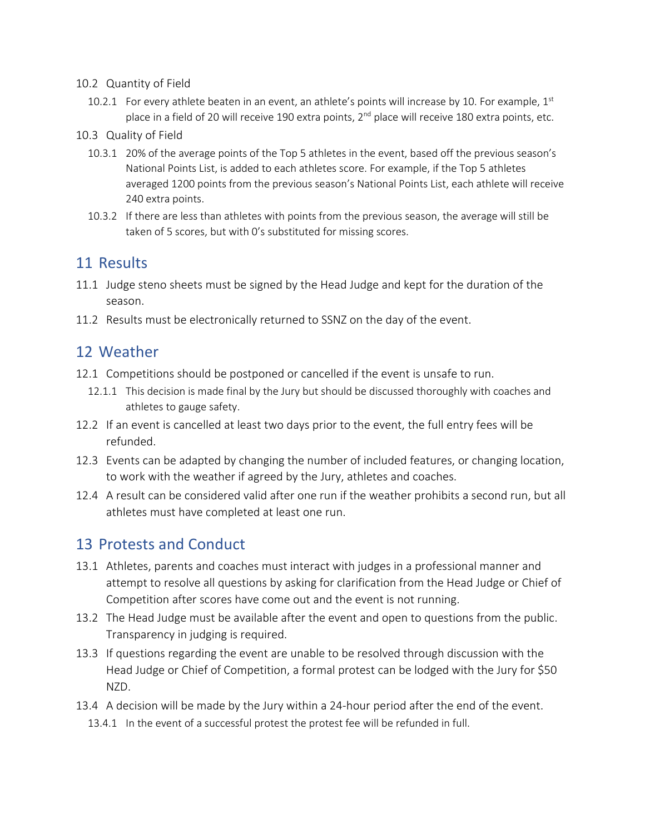#### 10.2 Quantity of Field

- 10.2.1 For every athlete beaten in an event, an athlete's points will increase by 10. For example,  $1<sup>st</sup>$ place in a field of 20 will receive 190 extra points, 2<sup>nd</sup> place will receive 180 extra points, etc.
- 10.3 Quality of Field
	- 10.3.1 20% of the average points of the Top 5 athletes in the event, based off the previous season's National Points List, is added to each athletes score. For example, if the Top 5 athletes averaged 1200 points from the previous season's National Points List, each athlete will receive 240 extra points.
	- 10.3.2 If there are less than athletes with points from the previous season, the average will still be taken of 5 scores, but with 0's substituted for missing scores.

### <span id="page-4-0"></span>11 Results

- 11.1 Judge steno sheets must be signed by the Head Judge and kept for the duration of the season.
- <span id="page-4-1"></span>11.2 Results must be electronically returned to SSNZ on the day of the event.

### 12 Weather

- 12.1 Competitions should be postponed or cancelled if the event is unsafe to run.
	- 12.1.1 This decision is made final by the Jury but should be discussed thoroughly with coaches and athletes to gauge safety.
- 12.2 If an event is cancelled at least two days prior to the event, the full entry fees will be refunded.
- 12.3 Events can be adapted by changing the number of included features, or changing location, to work with the weather if agreed by the Jury, athletes and coaches.
- 12.4 A result can be considered valid after one run if the weather prohibits a second run, but all athletes must have completed at least one run.

## <span id="page-4-2"></span>13 Protests and Conduct

- 13.1 Athletes, parents and coaches must interact with judges in a professional manner and attempt to resolve all questions by asking for clarification from the Head Judge or Chief of Competition after scores have come out and the event is not running.
- 13.2 The Head Judge must be available after the event and open to questions from the public. Transparency in judging is required.
- 13.3 If questions regarding the event are unable to be resolved through discussion with the Head Judge or Chief of Competition, a formal protest can be lodged with the Jury for \$50 NZD.
- 13.4 A decision will be made by the Jury within a 24-hour period after the end of the event.
	- 13.4.1 In the event of a successful protest the protest fee will be refunded in full.